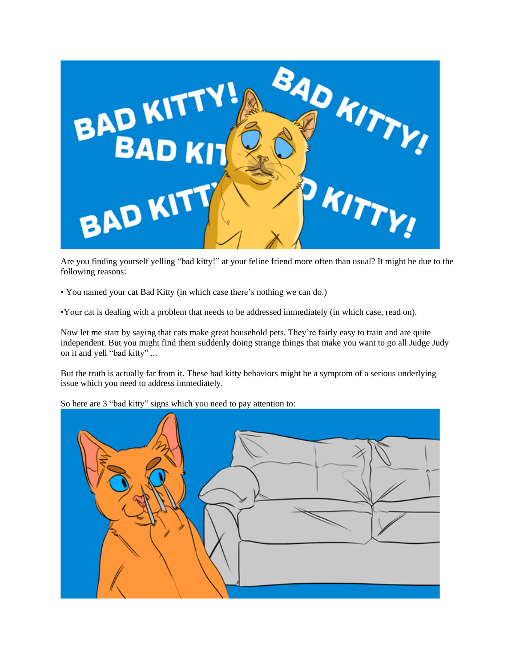

Are you finding yourself yelling "bad kitty!" at your feline friend more often than usual? It might be due to the following reasons:

- You named your cat Bad Kitty (in which case there's nothing we can do.)
- •Your cat is dealing with a problem that needs to be addressed immediately (in which case, read on).

Now let me start by saying that cats make great household pets. They're fairly easy to train and are quite independent. But you might find them suddenly doing strange things that make you want to go all Judge Judy on it and yell "bad kitty" ...

But the truth is actually far from it. These bad kitty behaviors might be a symptom of a serious underlying issue which you need to address immediately.

So here are 3 "bad kitty" signs which you need to pay attention to:

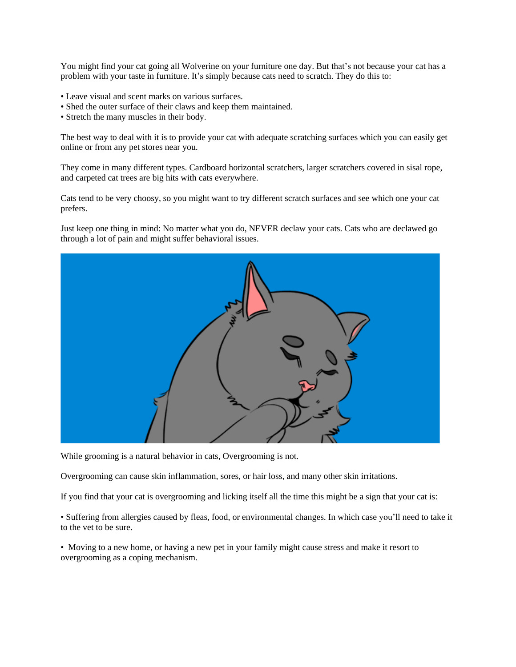You might find your cat going all Wolverine on your furniture one day. But that's not because your cat has a problem with your taste in furniture. It's simply because cats need to scratch. They do this to:

- Leave visual and scent marks on various surfaces.
- Shed the outer surface of their claws and keep them maintained.
- Stretch the many muscles in their body.

The best way to deal with it is to provide your cat with adequate scratching surfaces which you can easily get online or from any pet stores near you.

They come in many different types. Cardboard horizontal scratchers, larger scratchers covered in sisal rope, and carpeted cat trees are big hits with cats everywhere.

Cats tend to be very choosy, so you might want to try different scratch surfaces and see which one your cat prefers.

Just keep one thing in mind: No matter what you do, NEVER declaw your cats. Cats who are declawed go through a lot of pain and might suffer behavioral issues.



While grooming is a natural behavior in cats, Overgrooming is not.

Overgrooming can cause skin inflammation, sores, or hair loss, and many other skin irritations.

If you find that your cat is overgrooming and licking itself all the time this might be a sign that your cat is:

• Suffering from allergies caused by fleas, food, or environmental changes. In which case you'll need to take it to the vet to be sure.

• Moving to a new home, or having a new pet in your family might cause stress and make it resort to overgrooming as a coping mechanism.